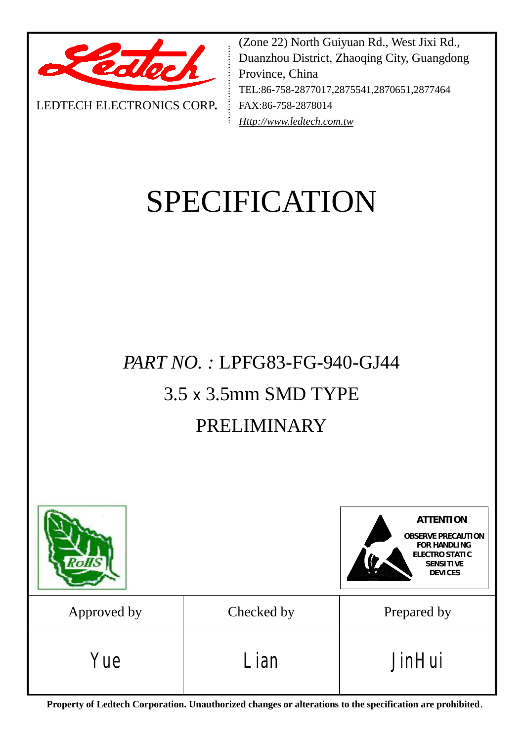

LEDTECH ELECTRONICS CORP**.**

(Zone 22) North Guiyuan Rd., West Jixi Rd., Duanzhou District, Zhaoqing City, Guangdong Province, China TEL:86-758-2877017,2875541,2870651,2877464 FAX:86-758-2878014 *[Http://www.ledtech.com.tw](http://www.ledtech.com.tw)*

# SPECIFICATION

# *PART NO. :* LPFG83-FG-940-GJ44 3.5 x 3.5mm SMD TYPE

# PRELIMINARY



**Property of Ledtech Corporation. Unauthorized changes or alterations to the specification are prohibited***.*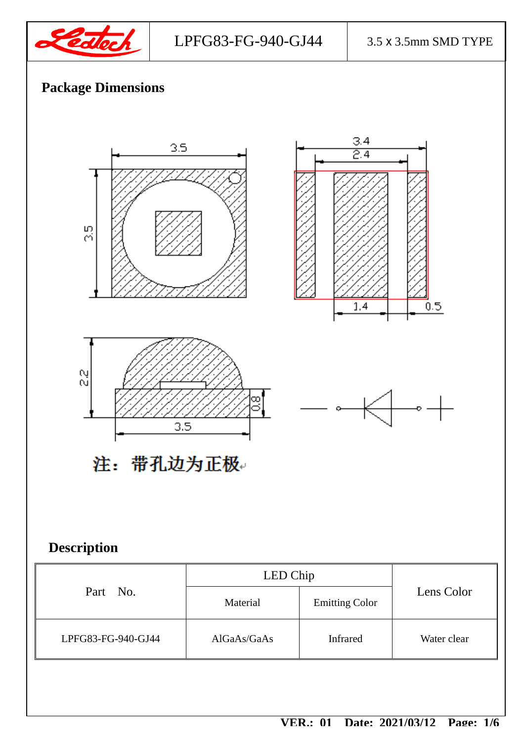

LPFG83-FG-940-GJ44 3.5 x 3.5mm SMD TYPE

 $0.5$ 

# **Package Dimensions**





 $\frac{3.4}{2.4}$ 

 $\overline{1.4}$ 

注: 带孔边为正极。

 $3.5$ 

# **Description**

|                    | LED Chip    |                       |             |
|--------------------|-------------|-----------------------|-------------|
| Part No.           | Material    | <b>Emitting Color</b> | Lens Color  |
| LPFG83-FG-940-GJ44 | AlGaAs/GaAs | <b>Infrared</b>       | Water clear |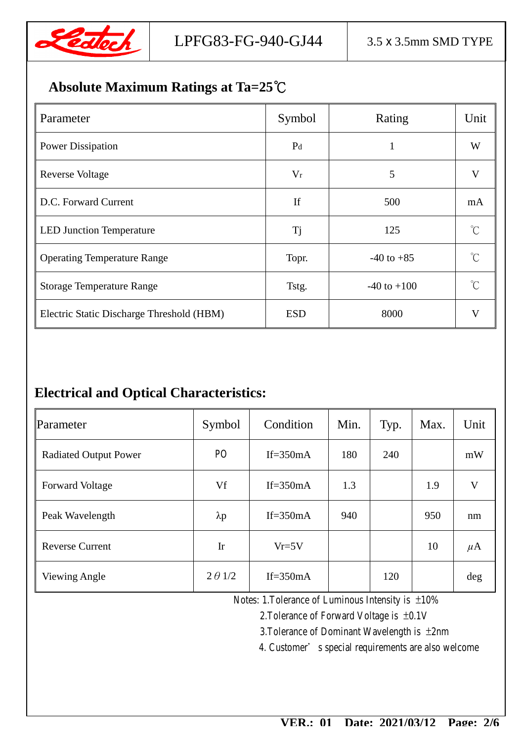

## **Absolute Maximum Ratings at Ta=25℃**

| Parameter                                 | Symbol         | Rating          | Unit        |
|-------------------------------------------|----------------|-----------------|-------------|
| <b>Power Dissipation</b>                  | P <sub>d</sub> | $\mathbf{1}$    | W           |
| <b>Reverse Voltage</b>                    | $V_r$          | 5               | V           |
| D.C. Forward Current                      | If             | 500             | mA          |
| <b>LED Junction Temperature</b>           | <b>Tj</b>      | 125             | $^{\circ}C$ |
| <b>Operating Temperature Range</b>        | Topr.          | $-40$ to $+85$  | $\gamma$    |
| <b>Storage Temperature Range</b>          | Tstg.          | $-40$ to $+100$ | $\gamma$    |
| Electric Static Discharge Threshold (HBM) | <b>ESD</b>     | 8000            | V           |

## **Electrical and Optical Characteristics:**

| Parameter                    | Symbol         | Condition   | Min. | Typ. | Max. | Unit    |
|------------------------------|----------------|-------------|------|------|------|---------|
| <b>Radiated Output Power</b> | P <sub>O</sub> | If= $350mA$ | 180  | 240  |      | mW      |
| <b>Forward Voltage</b>       | Vf             | If= $350mA$ | 1.3  |      | 1.9  | V       |
| Peak Wavelength              | $\lambda p$    | If= $350mA$ | 940  |      | 950  | nm      |
| <b>Reverse Current</b>       | Ir             | $Vr=5V$     |      |      | 10   | $\mu$ A |
| <b>Viewing Angle</b>         | $2 \theta$ 1/2 | If= $350mA$ |      | 120  |      | $\deg$  |

Notes: 1.Tolerance of Luminous Intensity is  $\pm 10\%$ 

2.Tolerance of Forward Voltage is ±0.1V

3.Tolerance of Dominant Wavelength is ±2nm

4. Customer's special requirements are also welcome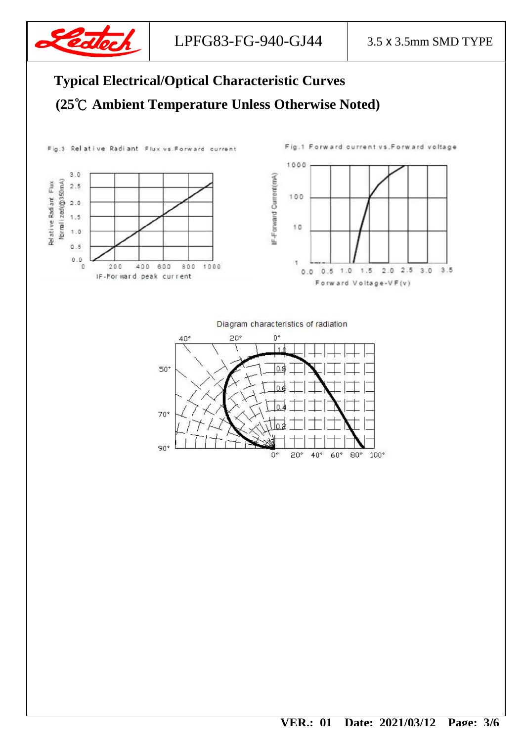

# **Typical Electrical/Optical Characteristic Curves (25℃ Ambient Temperature Unless Otherwise Noted)**

Fig.3 Relative Radiant Flux vs. Forward current





Diagram characteristics of radiation

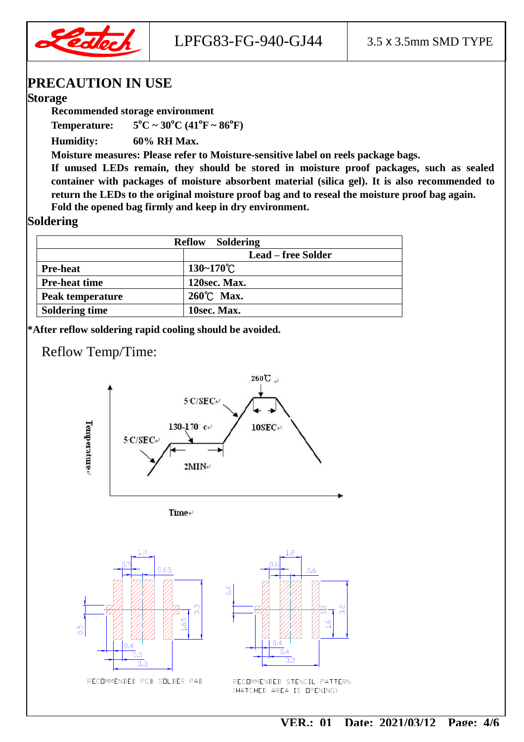

#### **PRECAUTION IN USE**

#### **Storage**

**Recommended storage environment** 

**Temperature:**  $5^{\circ}C \sim 30^{\circ}C (41^{\circ}F \sim 86^{\circ}F)$ 

**Humidity: 60% RH Max.** 

**Moisture measures: Please refer to Moisture-sensitive label on reels package bags.** 

**If unused LEDs remain, they should be stored in moisture proof packages, such as sealed container with packages of moisture absorbent material (silica gel). It is also recommended to return the LEDs to the original moisture proof bag and to reseal the moisture proof bag again. Fold the opened bag firmly and keep in dry environment.** 

#### **Soldering**

| <b>Reflow</b><br><b>Soldering</b> |                       |  |
|-----------------------------------|-----------------------|--|
|                                   | Lead – free Solder    |  |
| <b>Pre-heat</b>                   | $130 - 170^{\circ}$ C |  |
| <b>Pre-heat time</b>              | 120sec. Max.          |  |
| <b>Peak temperature</b>           | 260°C Max.            |  |
| <b>Soldering time</b>             | 10sec. Max.           |  |

**\*After reflow soldering rapid cooling should be avoided.** 

#### Reflow Temp/Time:



Time+





(HATCHED AREA IS OPENING)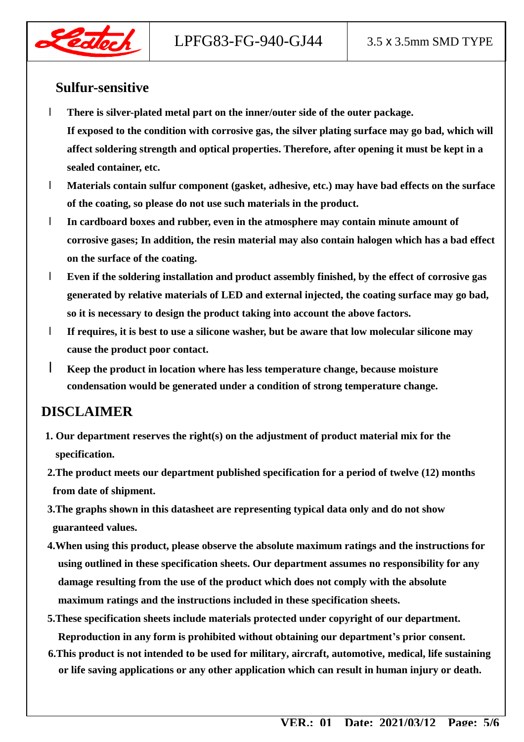



#### **Sulfur-sensitive**

- l **There is silver-plated metal part on the inner/outer side of the outer package. If exposed to the condition with corrosive gas, the silver plating surface may go bad, which will affect soldering strength and optical properties. Therefore, after opening it must be kept in a sealed container, etc.**
- l **Materials contain sulfur component (gasket, adhesive, etc.) may have bad effects on the surface of the coating, so please do not use such materials in the product.**
- l **In cardboard boxes and rubber, even in the atmosphere may contain minute amount of corrosive gases; In addition, the resin material may also contain halogen which has a bad effect on the surface of the coating.**
- l **Even if the soldering installation and product assembly finished, by the effect of corrosive gas generated by relative materials of LED and external injected, the coating surface may go bad, so it is necessary to design the product taking into account the above factors.**
- l **If requires, it is best to use a silicone washer, but be aware that low molecular silicone may cause the product poor contact.**
- l **Keep the product in location where has less temperature change, because moisture condensation would be generated under a condition of strong temperature change.**

#### **DISCLAIMER**

- **1. Our department reserves the right(s) on the adjustment of product material mix for the specification.**
- **2.The product meets our department published specification for a period of twelve (12) months from date of shipment.**
- **3.The graphs shown in this datasheet are representing typical data only and do not show guaranteed values.**
- **4.When using this product, please observe the absolute maximum ratings and the instructions for using outlined in these specification sheets. Our department assumes no responsibility for any damage resulting from the use of the product which does not comply with the absolute maximum ratings and the instructions included in these specification sheets.**
- **5.These specification sheets include materials protected under copyright of our department. Reproduction in any form is prohibited without obtaining our department's prior consent.**
- **6.This product is not intended to be used for military, aircraft, automotive, medical, life sustaining or life saving applications or any other application which can result in human injury or death.**